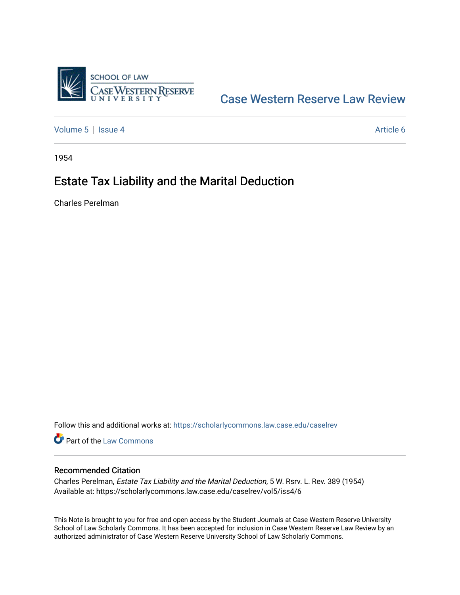

[Case Western Reserve Law Review](https://scholarlycommons.law.case.edu/caselrev) 

[Volume 5](https://scholarlycommons.law.case.edu/caselrev/vol5) | [Issue 4](https://scholarlycommons.law.case.edu/caselrev/vol5/iss4) Article 6

1954

# Estate Tax Liability and the Marital Deduction

Charles Perelman

Follow this and additional works at: [https://scholarlycommons.law.case.edu/caselrev](https://scholarlycommons.law.case.edu/caselrev?utm_source=scholarlycommons.law.case.edu%2Fcaselrev%2Fvol5%2Fiss4%2F6&utm_medium=PDF&utm_campaign=PDFCoverPages)

Part of the [Law Commons](http://network.bepress.com/hgg/discipline/578?utm_source=scholarlycommons.law.case.edu%2Fcaselrev%2Fvol5%2Fiss4%2F6&utm_medium=PDF&utm_campaign=PDFCoverPages)

### Recommended Citation

Charles Perelman, Estate Tax Liability and the Marital Deduction, 5 W. Rsrv. L. Rev. 389 (1954) Available at: https://scholarlycommons.law.case.edu/caselrev/vol5/iss4/6

This Note is brought to you for free and open access by the Student Journals at Case Western Reserve University School of Law Scholarly Commons. It has been accepted for inclusion in Case Western Reserve Law Review by an authorized administrator of Case Western Reserve University School of Law Scholarly Commons.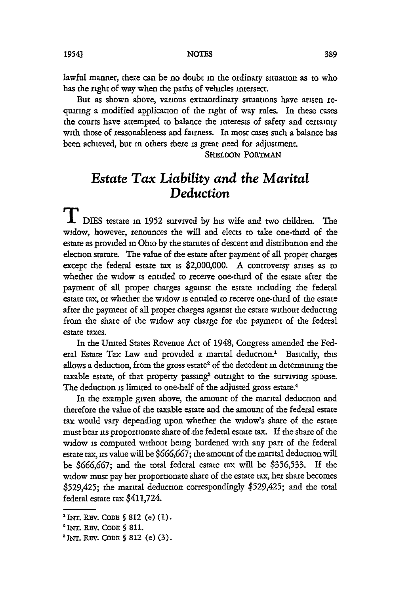#### NOTES

lawful manner, there can be no doubt in the ordinary situation as to who has the right of way when the paths of vehicles intersect.

But as shown above, various extraordinary situations have arisen requiring a modified application of the right of way rules. In these cases the courts have attempted to balance the interests of safety and certainty with those of reasonableness and fairness. In most cases such a balance has been achieved, but in others there is great need for adjustment.

**SHELDON PORTMAN**

## *Estate Tax Liability and the Marital Deduction*

**T** DIES testate in 1952 survived by his wife and two children. The widow, however, renounces the will and elects to take one-third of the estate as provided in Ohio by the statutes of descent and distribution and the election statute. The value of the estate after payment of all proper charges except the federal estate tax is \$2,000,000. A controversy arises as to whether the widow is entitled to receive one-third of the estate after the payment of all proper charges against the estate including the federal estate tax, or whether the widow is entitled to receive one-third of the estate after the payment of all proper charges against the estate without deducting from the share of the widow any charge for the payment of the federal estate taxes.

In the United States Revenue Act of 1948, Congress amended the Federal Estate Tax Law and provided a marital deduction.<sup>1</sup> Basically, this allows a deduction, from the gross estate<sup>2</sup> of the decedent in determining the taxable estate, of that property passing<sup>3</sup> outright to the surviving spouse. The deduction is limited to one-half of the adjusted gross estate.<sup>4</sup>

In the example given above, the amount of the marital deduction and therefore the value of the taxable estate and the amount of the federal estate tax would vary depending upon whether the widow's share of the estate must bear its proportionate share of the federal estate tax. If the share of the widow is computed without being burdened with any part of the federal estate tax, its value will be **\$666,667;** the amount of the marital deduction will be **\$666,667;** and the total federal estate tax will be \$356,533. If the widow must pay her proportionate share of the estate tax, her share becomes \$529,425; the marital deduction correspondingly \$529,425; and the total federal estate tax \$411,724.

**<sup>1</sup>INT. REv. CODE § 812** (e) (1).

<sup>2</sup> INT. REv. CODE § **811.**

*<sup>3</sup>INT.* REV. CODE **§ 812** (e) (3).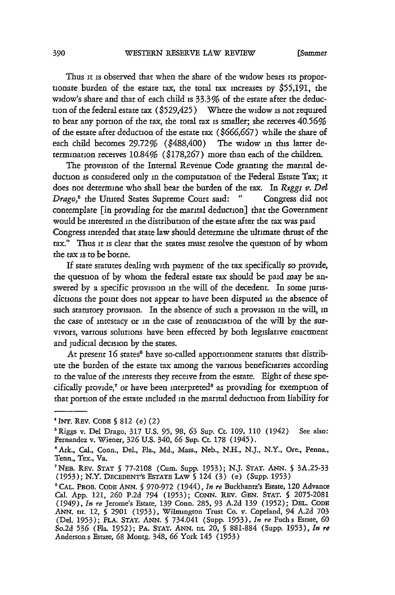Thus it is observed that when the share of the widow bears its proportionate burden of the estate tax, the total tax increases by \$55,191, the widow's share and that of each child is 33.3% of the estate after the deduction of the federal estate tax (\$529,425) Where the widow is not required to bear any portion of the tax, the total tax is smaller; she receives 40.56% of the estate after deduction of the estate tax (\$666,667) while the share of each child becomes 29.72% (\$488,400) The widow in this latter determination receives 10.84% (\$178,267) more than each of the children.

The provision of the Internal Revenue Code granting the marital deduction is considered only in the computation of the Federal Estate Tax; it does not determine who shall bear the burden of the tax. In *Riggs v. Del Drago,5* the United States Supreme Court said: " Congress did not contemplate [in providing for the marital deduction] that the Government would be interested in the distribution of the estate after the tax was paid Congress intended that state law should determine the ultimate thrust of the tax." Thus it is clear that the states must resolve the question of by whom the tax is to be borne.

If state statutes dealing with payment of the tax specifically so provide, the question of by whom the federal estate tax should be paid may be answered by a specific provision in the will of the decedent. In some jurisdictions the point does not appear to have been disputed in the absence of such statutory provision. In the absence of such a provision in the will, in the case of intestacy or in the case of renunciation of the will by the survivors, various solutions have been effected by both legislative enactment and judicial decision by the states.

At present 16 states<sup>6</sup> have so-called apportionment statutes that distribute the burden of the estate tax among the various beneficiaries according to the value of the interests they receive from the estate. Eight of these specifically provide, $7$  or have been interpreted<sup>8</sup> as providing for exemption of that portion of the estate included in the marital deduction from liability for

<sup>&#</sup>x27;INT. REV. CODE **§ 812** (e) (2)

<sup>&#</sup>x27;Riggs v. Del Drago, **317** U.S. **95,** 98, **63** Sup. Ct. 109, **110** (1942) See also: Fernandez v. Wiener, 326 U.S. 340, **66** Sup. Ct. **178** (1945).

<sup>&#</sup>x27;Ark., Cal., Conn., Del., Fla., Md., Mass., Neb., N.H., N.J., N.Y., Ore., Penna., Tenn., Tex., Va.

NEB. REV. STAT **§** 77-2108 (Cum. Supp. 1953); N.J. *STAT.* ANN. **§** 3A.25-33 (1953); N.Y. DECEDENT'S ESTATE LAW **§** 124 (3) (e) (Supp. **1953)**

**<sup>&</sup>quot;CAL.** PROB. CODE **ANN. §** 970-972 (1944), *In re* Buckbantzs Estate, 120 Advance Cal. App. 121, **260** P.2d 794 (1953); CONN. REV. **GEN. STAT. §** 2075-2081 (1949), *h? re* Jerome's Estate, **139** Conn. 285, 93 A.2d **139** (1952); **DEL.** CODE **ANN. tit.** 12, **§** 2901 (1953), Wilmington Trust Co. v. Copeland, 94 A.2d **703** (Del. 1953); FLA. **STAT.** ANN. **§** 734.041 (Supp. 1953), *In re* Fuchs Estate, **60** So.2d **536** (Fla. 1952); PA. **STAT.** ANN. tit 20, **§** 881-884 (Supp. 1953), *In re* Anderson s Estate, 68 Montg. 348, **66** York 145 (1953)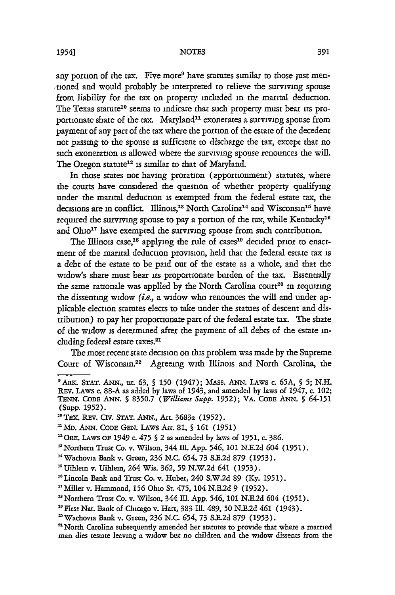#### NOTES

any portion of the tax. Five more<sup>9</sup> have statutes similar to those just men-.tioned and would probably be interpreted to relieve the surviving spouse from liability for the tax on property included in the marital deduction. The Texas statute<sup>10</sup> seems to indicate that such property must bear its proportionate share of the tax. Maryland<sup>11</sup> exonerates a surviving spouse from payment of any part of the tax where the portion of the estate of the decedent not passing to the spouse is sufficient to discharge the tax, except that no such exoneration is allowed where the surviving spouse renounces the will. The Oregon statute<sup>12</sup> is similar to that of Maryland.

In those states not having proration (apportionment) statutes, where the courts have considered the question of whether property qualifying under the marital deduction is exempted from the federal estate tax, the decisions are in conflict. Illinois,<sup>13</sup> North Carolina<sup>14</sup> and Wisconsin<sup>15</sup> have required the surviving spouse to pay a portion of the tax, while Kentucky<sup>16</sup> and **Ohio'<sup>7</sup>**have exempted the surviving spouse from such contribution.

The Illinois case,<sup>18</sup> applying the rule of cases<sup>19</sup> decided prior to enactment of the marital deduction provision, held that the federal estate tax is a debt of the estate to be paid out of the estate as a whole, and that the widow's share must bear its proportionate burden of the tax. Essentially the same rationale was applied by the North Carolina court<sup>20</sup> in requiring the dissenting widow *(i.e.,* a widow who renounces the will and under applicable election statutes elects to take under the statues of descent and distribution) to pay her proportionate part of the federal estate tax. The share of the widow is determined after the payment of all debts of the estate including federal estate taxes.<sup>21</sup>

The most recent state decision on this problem was made by the Supreme Court of Wisconsin.<sup>22</sup> Agreeing with Illinois and North Carolina, the

<sup>&</sup>quot;ARK. **STAT. ANN., ut. 63, § 150** (1947); MAss. ANN. LAws c. **65A,** § **5;** N.H. **REv.** LAWS c. 88-A **as** added by laws of 1943, and amended by laws of 1947, c. 102; **TENN.** CODE **ANN. §** 8350.7 *(Williams Supp.* **1952);** VA. **CODE ANN.** *§* 64-151 (Supp. 1952).

<sup>&</sup>quot;Tex. REv. Cirv. **STAT.** *ANN.,* Art. 3683a (1952).

<sup>&</sup>quot;MD. ANN. **CODE** GEN. LAws Art. 81, § **161** (1951)

<sup>&</sup>quot;ORE. LAWS **OF** *1949* c. 475 **§** 2 **as** amended by laws of 1951, c. 386.

<sup>&</sup>quot;Northern Trust Co. v. Wilson, 344 II. **App.** 546, **101** N.E.2d 604 (1951).

<sup>&#</sup>x27; <sup>4</sup> Wachovia Bank v. Green, **236** N.C. 654, 73 S.E.2d **879** (1953).

Uihlein v. Uihlein, 264 Wis. 362, **59** N.W.2d 641 (1953).

<sup>&</sup>lt;sup>16</sup> Lincoln Bank and Trust Co. v. Huber, 240 S.W.2d 89 (Ky. 1951).

<sup>&#</sup>x27; <sup>T</sup> Miller v. Hammond, **156** Ohio St. 475, 104 N.E.2d *9* (1952).

<sup>&</sup>lt;sup>18</sup> Northern Trust Co. v. Wilson, 344 Ill. App. 546, 101 N.E.2d 604 (1951).

First Nat. Bank of Chicago v. Hart, 383 Ill. 489, **50** N.B.2d 461 (1943).

<sup>&#</sup>x27;Wachovia Bank v. Green, **236** N.C. 654, 73 S.E.2d 879 (1953).

<sup>&#</sup>x27;North Carolina subsequently amended her statutes to provide that where a married man dies testate leaving a widow but no children and the widow dissents from the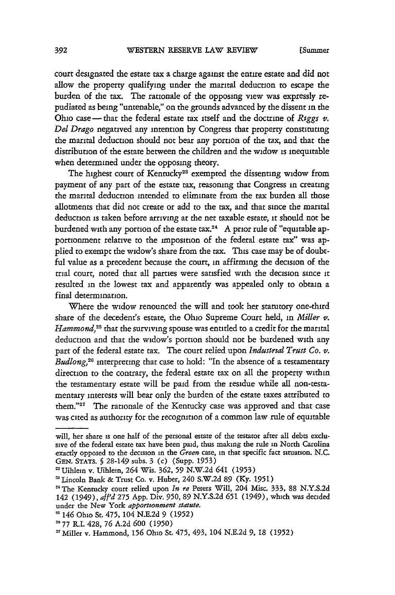[Summer

court designated the estate **tax** a charge against the entire estate and did not allow the property qualifying under the marital deduction to escape the burden of the tax. The rationale of the opposing view was expressly repudiated as being "untenable," on the grounds advanced by the dissent in the Ohio case - that the federal estate tax itself and the doctrine of *Riggs*  $v$ . *Del Drago* negatived any intention by Congress that property constituting the marital deduction should not bear any portion of the tax, and that the distribution of the estate between the children and the widow is inequitable when determined under the opposing theory.

The highest court of Kentucky<sup>23</sup> exempted the dissenting widow from payment of any part of the estate tax, reasoning that Congress in creating the marital deduction intended to eliminate from the tax burden all those allotments that did not create or add to the tax, and that since the marital deduction is taken before arriving at the net taxable estate, it should not be burdened with any portion of the estate tax.<sup>24</sup> A prior rule of "equitable apportionment relative to the imposition of the federal estate tax" was applied to exempt the widow's share from the tax. This case may be of doubtful value as a precedent because the court, in affirming the decision of the trial court, noted that all parties were satisfied with the decision since it resulted in the lowest tax and apparently was appealed only to obtain a final determination.

Where the widow renounced the will and took her statutory one-third share of the decedent's estate, the Ohio Supreme Court held, in *Miller* v. Hammond,<sup>25</sup> that the surviving spouse was entitled to a credit for the marital deduction and that the widow's portion should not be burdened with any part of the federal estate tax. The court relied upon *Indusirtal Trust Co.* **v.** *Budlong,26* interpreting that case to hold: "In the absence of a testamentary direction to the contrary, the federal estate tax on all the property within the testamentary estate will be paid from the residue while all non-testamentary interests will bear only the burden of the estate taxes attributed to them."27 The rationale of the Kentucky case was approved and that case was cited as authority for the recognition of a common law rule of equitable

will, her share is one half of the personal estate of the testator after all debts exclusive of the federal estate tax have been paid, thus making the rule in North Carolina exactly opposed to the decision in the *Green* case, in that specific fact situation. N.C. GEN. STATS. **§** 28-149 subs. 3 (c) (Supp. **1953)**

<sup>22</sup> Uihlein v. Uihlein, 264 Wis. 362, **59** N.W.2d 641 (1953)

**<sup>&#</sup>x27;** Lincoln Bank & Trust Co. v. Huber, 240 S.W.2d 89 (Ky. **1951)**

<sup>-&</sup>quot; The Kentucky court relied upon In *re* Peters Will, 204 Misc. 333, 88 N.Y.S.2d 142 (1949), *af 'd* 275 App. Div. 950, 89 N.Y.S.2d **651** (1949), which was decided under the New York *apportsonment statute.*

**<sup>&#</sup>x27;** 146 Ohio St. 475, 104 N.E.2d **9** (1952)

**<sup>&</sup>quot;** 77 R.I. 428, **76** A.2d **600** (1950)

<sup>&#</sup>x27;Miller v. Hammond, **156** Ohio St. **475,** 493, 104 N.E.2d **9,** 18 (1952)